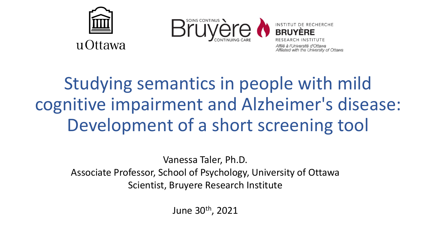



Affilié à l'Université d'Ottawa Affiliated with the University of Ottawa

# Studying semantics in people with mild cognitive impairment and Alzheimer's disease: Development of a short screening tool

Vanessa Taler, Ph.D. Associate Professor, School of Psychology, University of Ottawa Scientist, Bruyere Research Institute

June 30th, 2021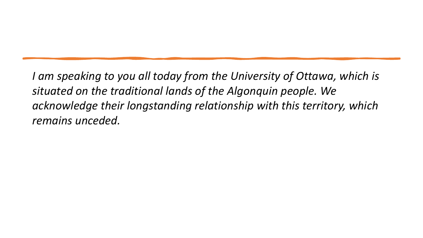*I am speaking to you all today from the University of Ottawa, which is situated on the traditional lands of the Algonquin people. We acknowledge their longstanding relationship with this territory, which remains unceded.*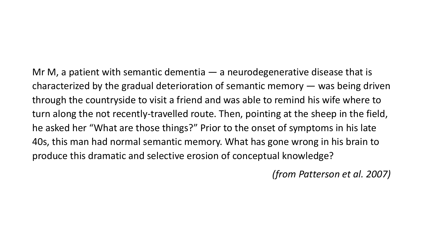Mr M, a patient with semantic dementia  $-$  a neurodegenerative disease that is characterized by the gradual deterioration of semantic memory — was being driven through the countryside to visit a friend and was able to remind his wife where to turn along the not recently-travelled route. Then, pointing at the sheep in the field, he asked her "What are those things?" Prior to the onset of symptoms in his late 40s, this man had normal semantic memory. What has gone wrong in his brain to produce this dramatic and selective erosion of conceptual knowledge?

*(from Patterson et al. 2007)*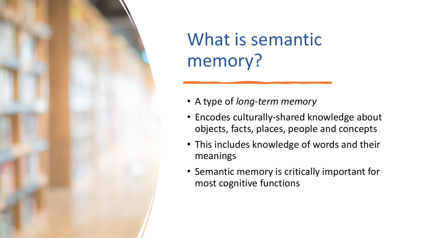

# What is semantic memory?

- A type of *long-term memory*
- Encodes culturally-shared knowledge about objects, facts, places, people and concepts
- This includes knowledge of words and their meanings
- Semantic memory is critically important for most cognitive functions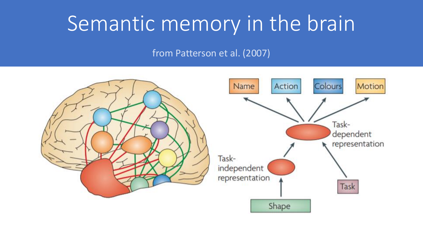# Semantic memory in the brain

from Patterson et al. (2007)

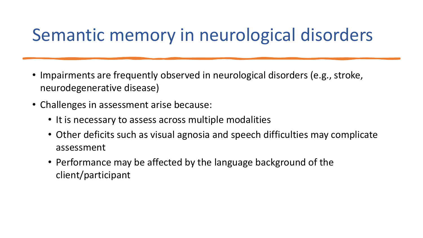# Semantic memory in neurological disorders

- Impairments are frequently observed in neurological disorders (e.g., stroke, neurodegenerative disease)
- Challenges in assessment arise because:
	- It is necessary to assess across multiple modalities
	- Other deficits such as visual agnosia and speech difficulties may complicate assessment
	- Performance may be affected by the language background of the client/participant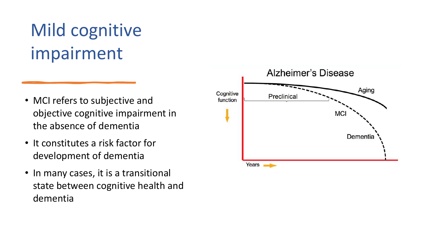# Mild cognitive impairment

- MCI refers to subjective and objective cognitive impairment in the absence of dementia
- It constitutes a risk factor for development of dementia
- In many cases, it is a transitional state between cognitive health and dementia

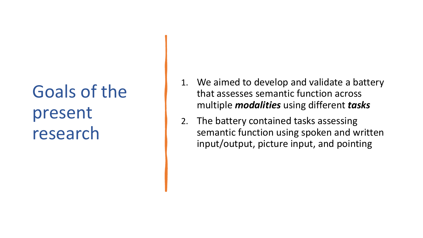# Goals of the present research

- 1. We aimed to develop and validate a battery that assesses semantic function across multiple *modalities* using different *tasks*
- 2. The battery contained tasks assessing semantic function using spoken and written input/output, picture input, and pointing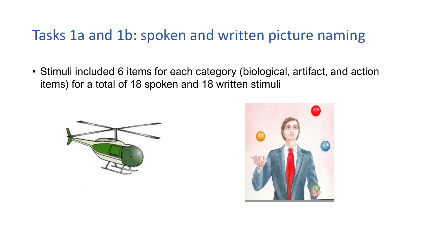### Tasks 1a and 1b: spoken and written picture naming

• Stimuli included 6 items for each category (biological, artifact, and action items) for a total of 18 spoken and 18 written stimuli



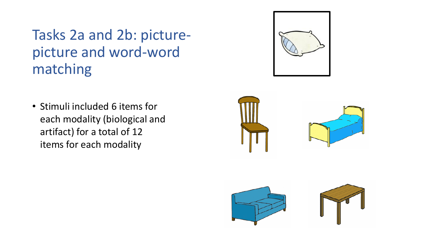Tasks 2a and 2b: picturepicture and word-word matching

• Stimuli included 6 items for each modality (biological and artifact) for a total of 12 items for each modality





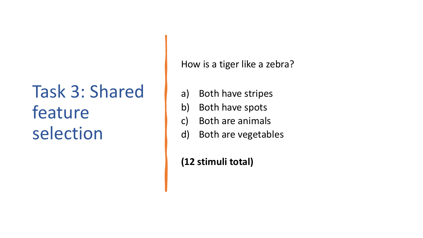# Task 3: Shared feature selection

How is a tiger like a zebra?

- a) Both have stripes
- b) Both have spots
- c) Both are animals
- d) Both are vegetables

**(12 stimuli total)**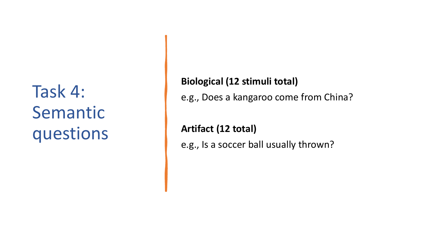# Task 4: Semantic questions

### **Biological (12 stimuli total)**

e.g., Does a kangaroo come from China?

**Artifact (12 total)** e.g., Is a soccer ball usually thrown?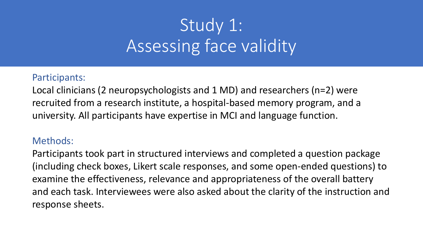# Study 1: Assessing face validity

#### Participants:

Local clinicians (2 neuropsychologists and 1 MD) and researchers (n=2) were recruited from a research institute, a hospital-based memory program, and a university. All participants have expertise in MCI and language function.

### Methods:

Participants took part in structured interviews and completed a question package (including check boxes, Likert scale responses, and some open-ended questions) to examine the effectiveness, relevance and appropriateness of the overall battery and each task. Interviewees were also asked about the clarity of the instruction and response sheets.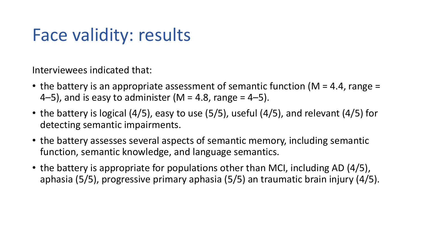# Face validity: results

Interviewees indicated that:

- the battery is an appropriate assessment of semantic function ( $M = 4.4$ , range  $=$ 4–5), and is easy to administer (M = 4.8, range = 4–5).
- the battery is logical (4/5), easy to use (5/5), useful (4/5), and relevant (4/5) for detecting semantic impairments.
- the battery assesses several aspects of semantic memory, including semantic function, semantic knowledge, and language semantics.
- the battery is appropriate for populations other than MCI, including AD (4/5), aphasia (5/5), progressive primary aphasia (5/5) an traumatic brain injury (4/5).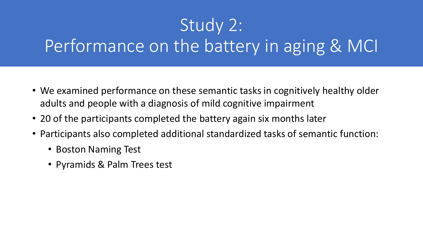# Study 2: Performance on the battery in aging & MCI

- We examined performance on these semantic tasks in cognitively healthy older adults and people with a diagnosis of mild cognitive impairment
- 20 of the participants completed the battery again six months later
- Participants also completed additional standardized tasks of semantic function:
	- Boston Naming Test
	- Pyramids & Palm Trees test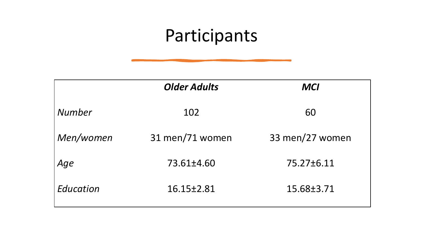# Participants

|           | <b>Older Adults</b> | <b>MCI</b>      |
|-----------|---------------------|-----------------|
| Number    | 102                 | 60              |
| Men/women | 31 men/71 women     | 33 men/27 women |
| Age       | 73.61±4.60          | 75.27±6.11      |
| Education | 16.15±2.81          | 15.68±3.71      |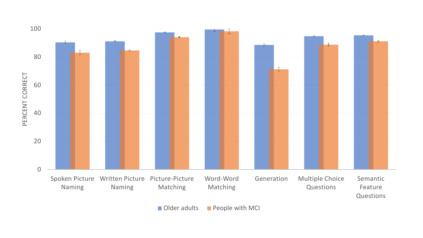

Older adults **People with MCI**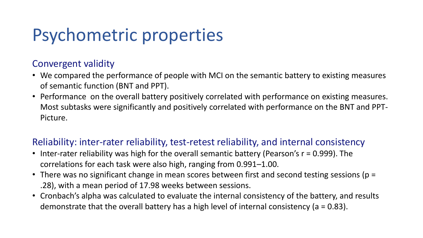# Psychometric properties

### Convergent validity

- We compared the performance of people with MCI on the semantic battery to existing measures of semantic function (BNT and PPT).
- Performance on the overall battery positively correlated with performance on existing measures. Most subtasks were significantly and positively correlated with performance on the BNT and PPT-Picture.

### Reliability: inter-rater reliability, test-retest reliability, and internal consistency

- Inter-rater reliability was high for the overall semantic battery (Pearson's r = 0.999). The correlations for each task were also high, ranging from 0.991–1.00.
- There was no significant change in mean scores between first and second testing sessions (p = .28), with a mean period of 17.98 weeks between sessions.
- Cronbach's alpha was calculated to evaluate the internal consistency of the battery, and results demonstrate that the overall battery has a high level of internal consistency ( $a = 0.83$ ).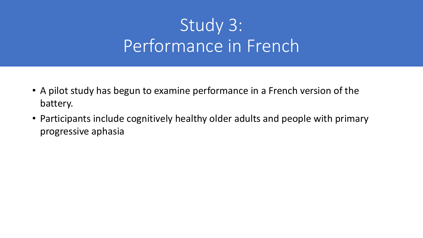# Study 3: Performance in French

- A pilot study has begun to examine performance in a French version of the battery.
- Participants include cognitively healthy older adults and people with primary progressive aphasia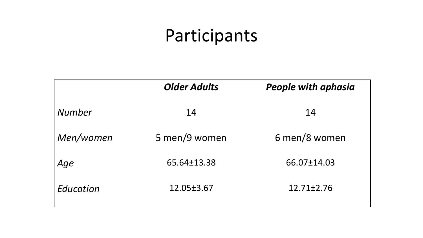# Participants

|               | <b>Older Adults</b> | <b>People with aphasia</b> |
|---------------|---------------------|----------------------------|
| <b>Number</b> | 14                  | 14                         |
| Men/women     | 5 men/9 women       | 6 men/8 women              |
| Age           | 65.64±13.38         | 66.07±14.03                |
| Education     | 12.05±3.67          | $12.71 \pm 2.76$           |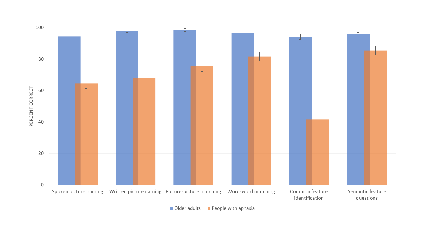

Older adults **People with aphasia**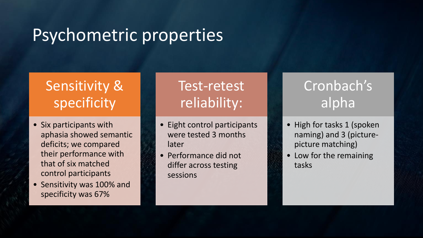## Psychometric properties

### Sensitivity & specificity

- Six participants with aphasia showed semantic deficits; we compared their performance with that of six matched control participants
- Sensitivity was 100% and specificity was 67%

### Test-retest reliability:

- Eight control participants were tested 3 months later
- Performance did not differ across testing sessions

### Cronbach's alpha

- High for tasks 1 (spoken naming) and 3 (picturepicture matching)
- Low for the remaining tasks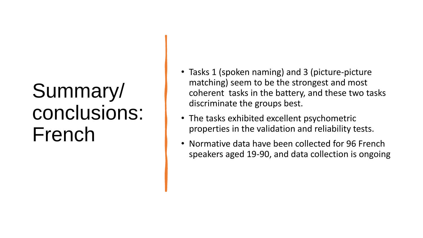# Summary/ conclusions: French

- Tasks 1 (spoken naming) and 3 (picture-picture matching) seem to be the strongest and most coherent tasks in the battery, and these two tasks discriminate the groups best.
- The tasks exhibited excellent psychometric properties in the validation and reliability tests.
- Normative data have been collected for 96 French speakers aged 19-90, and data collection is ongoing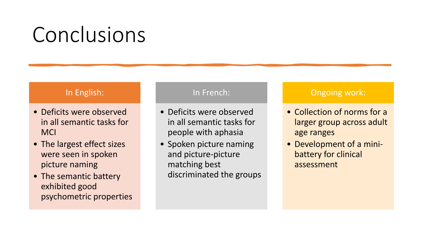# Conclusions

#### In English:

- Deficits were observed in all semantic tasks for **MCI**
- The largest effect sizes were seen in spoken picture naming
- The semantic battery exhibited good psychometric properties

#### In French:

- Deficits were observed in all semantic tasks for people with aphasia
- Spoken picture naming and picture-picture matching best discriminated the groups

#### Ongoing work:

- Collection of norms for a larger group across adult age ranges
- Development of a minibattery for clinical assessment